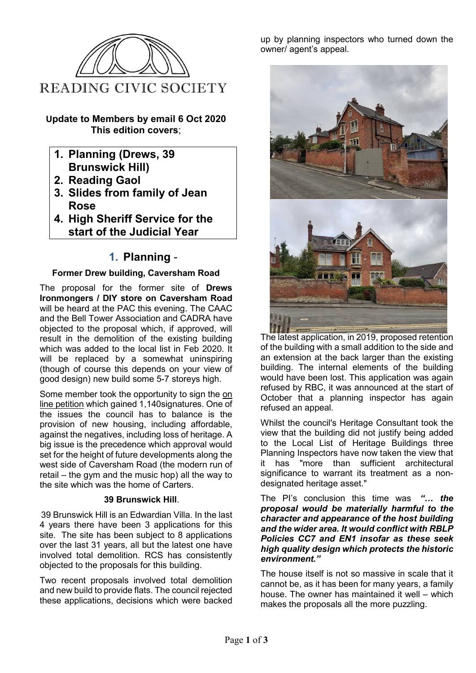

### **Update to Members by email 6 Oct 2020 This edition covers**;

- **1. Planning (Drews, 39 Brunswick Hill)**
- **2. Reading Gaol**
- **3. Slides from family of Jean Rose**
- **4. High Sheriff Service for the start of the Judicial Year**

# **1. Planning** -

### **Former Drew building, Caversham Road**

The proposal for the former site of **Drews Ironmongers / DIY store on Caversham Road** will be heard at the PAC this evening. The CAAC and the Bell Tower Association and CADRA have objected to the proposal which, if approved, will result in the demolition of the existing building which was added to the local list in Feb 2020. It will be replaced by a somewhat uninspiring (though of course this depends on your view of good design) new build some 5-7 storeys high.

Some member took the opportunity to sign the [on](https://nam11.safelinks.protection.outlook.com/?url=https%3A%2F%2Fwww.change.org%2Fp%2Freading-borough-council-save-the-historic-drews-building-from-demolition&data=02%7C01%7C%7C8b66765b62be48e6b3f608d86afc8e59%7C84df9e7fe9f640afb435aaaaaaaaaaaa%7C1%7C0%7C637376980243900917&sdata=o9PkSSUia%2BqQP80aFp1Sp1rC%2FeKb4UsgbFrcFVYABH0%3D&reserved=0)  [line petition](https://nam11.safelinks.protection.outlook.com/?url=https%3A%2F%2Fwww.change.org%2Fp%2Freading-borough-council-save-the-historic-drews-building-from-demolition&data=02%7C01%7C%7C8b66765b62be48e6b3f608d86afc8e59%7C84df9e7fe9f640afb435aaaaaaaaaaaa%7C1%7C0%7C637376980243900917&sdata=o9PkSSUia%2BqQP80aFp1Sp1rC%2FeKb4UsgbFrcFVYABH0%3D&reserved=0) which gained 1,140signatures. One of the issues the council has to balance is the provision of new housing, including affordable, against the negatives, including loss of heritage. A big issue is the precedence which approval would set for the height of future developments along the west side of Caversham Road (the modern run of retail – the gym and the music hop) all the way to the site which was the home of Carters.

### **39 Brunswick Hill**.

39 Brunswick Hill is an Edwardian Villa. In the last 4 years there have been 3 applications for this site. The site has been subject to 8 applications over the last 31 years, all but the latest one have involved total demolition. RCS has consistently objected to the proposals for this building.

Two recent proposals involved total demolition and new build to provide flats. The council rejected these applications, decisions which were backed up by planning inspectors who turned down the owner/ agent's appeal.



The latest application, in 2019, proposed retention of the building with a small addition to the side and an extension at the back larger than the existing building. The internal elements of the building would have been lost. This application was again refused by RBC, it was announced at the start of October that a planning inspector has again refused an appeal.

Whilst the council's Heritage Consultant took the view that the building did not justify being added to the Local List of Heritage Buildings three Planning Inspectors have now taken the view that it has "more than sufficient architectural significance to warrant its treatment as a nondesignated heritage asset."

#### The PI's conclusion this time was *"… the proposal would be materially harmful to the character and appearance of the host building and the wider area. It would conflict with RBLP Policies CC7 and EN1 insofar as these seek high quality design which protects the historic environment."*

The house itself is not so massive in scale that it cannot be, as it has been for many years, a family house. The owner has maintained it well – which makes the proposals all the more puzzling.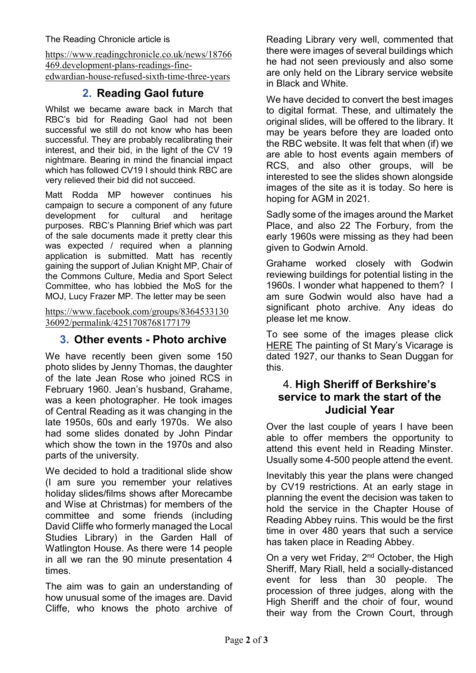[https://www.readingchronicle.co.uk/news/18766](https://www.readingchronicle.co.uk/news/18766469.development-plans-readings-fine-edwardian-house-refused-sixth-time-three-years) [469.development-plans-readings-fine](https://www.readingchronicle.co.uk/news/18766469.development-plans-readings-fine-edwardian-house-refused-sixth-time-three-years)[edwardian-house-refused-sixth-time-three-years](https://www.readingchronicle.co.uk/news/18766469.development-plans-readings-fine-edwardian-house-refused-sixth-time-three-years)

# **2. Reading Gaol future**

Whilst we became aware back in March that RBC's bid for Reading Gaol had not been successful we still do not know who has been successful. They are probably recalibrating their interest, and their bid, in the light of the CV 19 nightmare. Bearing in mind the financial impact which has followed CV19 I should think RBC are very relieved their bid did not succeed.

Matt Rodda MP however continues his campaign to secure a component of any future development for cultural and heritage purposes. RBC's Planning Brief which was part of the sale documents made it pretty clear this was expected / required when a planning application is submitted. Matt has recently gaining the support of Julian Knight MP, Chair of the Commons Culture, Media and Sport Select Committee, who has lobbied the MoS for the MOJ, Lucy Frazer MP. The letter may be seen

[https://www.facebook.com/groups/8364533130](https://nam11.safelinks.protection.outlook.com/?url=https%3A%2F%2Fwww.facebook.com%2Fgroups%2F836453313036092%2Fpermalink%2F4251708768177179&data=02%7C01%7C%7C8b66765b62be48e6b3f608d86afc8e59%7C84df9e7fe9f640afb435aaaaaaaaaaaa%7C1%7C0%7C637376980243910911&sdata=RwqLCIodzUI8L3MlirEfMh1XIFPBv61KtLNk3nbUngU%3D&reserved=0) [36092/permalink/4251708768177179](https://nam11.safelinks.protection.outlook.com/?url=https%3A%2F%2Fwww.facebook.com%2Fgroups%2F836453313036092%2Fpermalink%2F4251708768177179&data=02%7C01%7C%7C8b66765b62be48e6b3f608d86afc8e59%7C84df9e7fe9f640afb435aaaaaaaaaaaa%7C1%7C0%7C637376980243910911&sdata=RwqLCIodzUI8L3MlirEfMh1XIFPBv61KtLNk3nbUngU%3D&reserved=0)

# **3. Other events - Photo archive**

We have recently been given some 150 photo slides by Jenny Thomas, the daughter of the late Jean Rose who joined RCS in February 1960. Jean's husband, Grahame, was a keen photographer. He took images of Central Reading as it was changing in the late 1950s, 60s and early 1970s. We also had some slides donated by John Pindar which show the town in the 1970s and also parts of the university.

We decided to hold a traditional slide show (I am sure you remember your relatives holiday slides/films shows after Morecambe and Wise at Christmas) for members of the committee and some friends (including David Cliffe who formerly managed the Local Studies Library) in the Garden Hall of Watlington House. As there were 14 people in all we ran the 90 minute presentation 4 times.

The aim was to gain an understanding of how unusual some of the images are. David Cliffe, who knows the photo archive of Reading Library very well, commented that there were images of several buildings which he had not seen previously and also some are only held on the Library service website in Black and White.

We have decided to convert the best images to digital format. These, and ultimately the original slides, will be offered to the library. It may be years before they are loaded onto the RBC website. It was felt that when (if) we are able to host events again members of RCS, and also other groups, will be interested to see the slides shown alongside images of the site as it is today. So here is hoping for AGM in 2021.

Sadly some of the images around the Market Place, and also 22 The Forbury, from the early 1960s were missing as they had been given to Godwin Arnold.

Grahame worked closely with Godwin reviewing buildings for potential listing in the 1960s. I wonder what happened to them? I am sure Godwin would also have had a significant photo archive. Any ideas do please let me know.

To see some of the images please click [HERE](https://nam11.safelinks.protection.outlook.com/?url=https%3A%2F%2F1drv.ms%2Fu%2Fs!AlQD-bRIiHPhg-JOTvtx_ByrfjUjIQ%3Fe%3DaFgmkW&data=02%7C01%7C%7C8b66765b62be48e6b3f608d86afc8e59%7C84df9e7fe9f640afb435aaaaaaaaaaaa%7C1%7C0%7C637376980243910911&sdata=DcAplEGkuaToWrC2v%2F1863pjVlLmT7mweHj5TPnWoQg%3D&reserved=0) The painting of St Mary's Vicarage is dated 1927, our thanks to Sean Duggan for this.

# 4. **High Sheriff of Berkshire's service to mark the start of the Judicial Year**

Over the last couple of years I have been able to offer members the opportunity to attend this event held in Reading Minster. Usually some 4-500 people attend the event.

Inevitably this year the plans were changed by CV19 restrictions. At an early stage in planning the event the decision was taken to hold the service in the Chapter House of Reading Abbey ruins. This would be the first time in over 480 years that such a service has taken place in Reading Abbey.

On a very wet Friday, 2<sup>nd</sup> October, the High Sheriff, Mary Riall, held a socially-distanced event for less than 30 people. The procession of three judges, along with the High Sheriff and the choir of four, wound their way from the Crown Court, through